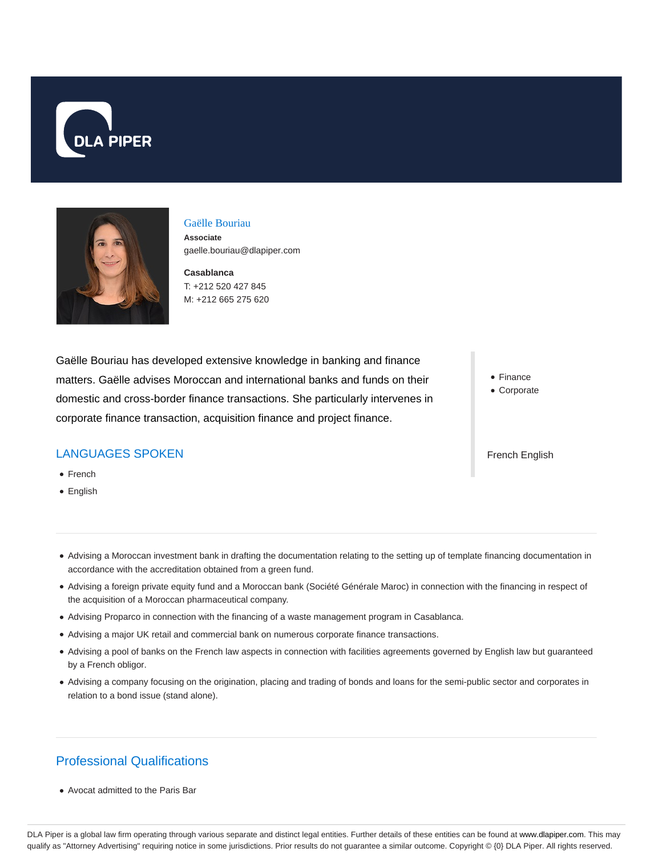



## Gaëlle Bouriau

**Associate** gaelle.bouriau@dlapiper.com

**Casablanca** T: +212 520 427 845 M: +212 665 275 620

Gaëlle Bouriau has developed extensive knowledge in banking and finance matters. Gaëlle advises Moroccan and international banks and funds on their domestic and cross-border finance transactions. She particularly intervenes in corporate finance transaction, acquisition finance and project finance.

## LANGUAGES SPOKEN

- French
- English

• Finance

Corporate

French English

- Advising a Moroccan investment bank in drafting the documentation relating to the setting up of template financing documentation in accordance with the accreditation obtained from a green fund.
- Advising a foreign private equity fund and a Moroccan bank (Société Générale Maroc) in connection with the financing in respect of the acquisition of a Moroccan pharmaceutical company.
- Advising Proparco in connection with the financing of a waste management program in Casablanca.
- Advising a major UK retail and commercial bank on numerous corporate finance transactions.
- Advising a pool of banks on the French law aspects in connection with facilities agreements governed by English law but guaranteed by a French obligor.
- Advising a company focusing on the origination, placing and trading of bonds and loans for the semi-public sector and corporates in relation to a bond issue (stand alone).

## Professional Qualifications

Avocat admitted to the Paris Bar

DLA Piper is a global law firm operating through various separate and distinct legal entities. Further details of these entities can be found at www.dlapiper.com. This may qualify as "Attorney Advertising" requiring notice in some jurisdictions. Prior results do not guarantee a similar outcome. Copyright © {0} DLA Piper. All rights reserved.